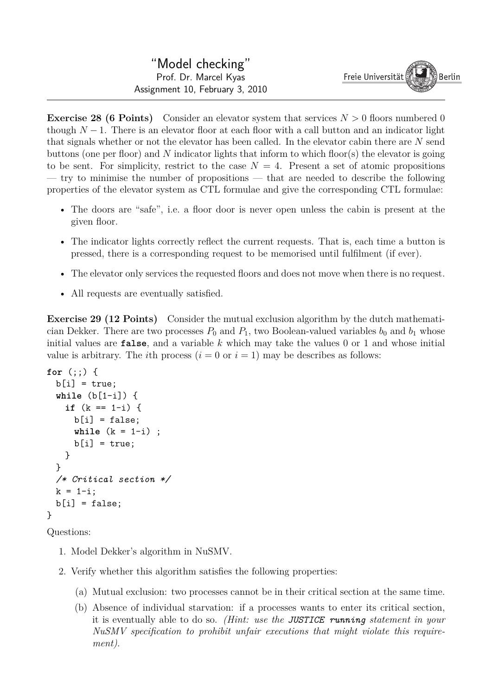**Exercise 28 (6 Points)** Consider an elevator system that services  $N > 0$  floors numbered 0 though  $N-1$ . There is an elevator floor at each floor with a call button and an indicator light that signals whether or not the elevator has been called. In the elevator cabin there are *N* send buttons (one per floor) and *N* indicator lights that inform to which floor(s) the elevator is going to be sent. For simplicity, restrict to the case  $N = 4$ . Present a set of atomic propositions — try to minimise the number of propositions — that are needed to describe the following properties of the elevator system as CTL formulae and give the corresponding CTL formulae:

- The doors are "safe", i.e. a floor door is never open unless the cabin is present at the given floor.
- The indicator lights correctly reflect the current requests. That is, each time a button is pressed, there is a corresponding request to be memorised until fulfilment (if ever).
- The elevator only services the requested floors and does not move when there is no request.
- All requests are eventually satisfied.

**Exercise 29 (12 Points)** Consider the mutual exclusion algorithm by the dutch mathematician Dekker. There are two processes  $P_0$  and  $P_1$ , two Boolean-valued variables  $b_0$  and  $b_1$  whose initial values are false, and a variable *k* which may take the values 0 or 1 and whose initial value is arbitrary. The *i*th process  $(i = 0 \text{ or } i = 1)$  may be describes as follows:

```
for (;;) {
b[i] = true;while (b[1-i]) {
  if (k == 1-i) {
    b[i] = false;while (k = 1-i) ;
    b[i] = true;}
 }
 /* Critical section */
k = 1 - i;b[i] = false;}
```
Questions:

- 1. Model Dekker's algorithm in NuSMV.
- 2. Verify whether this algorithm satisfies the following properties:
	- (a) Mutual exclusion: two processes cannot be in their critical section at the same time.
	- (b) Absence of individual starvation: if a processes wants to enter its critical section, it is eventually able to do so. *(Hint: use the JUSTICE running statement in your NuSMV specification to prohibit unfair executions that might violate this requirement)*.